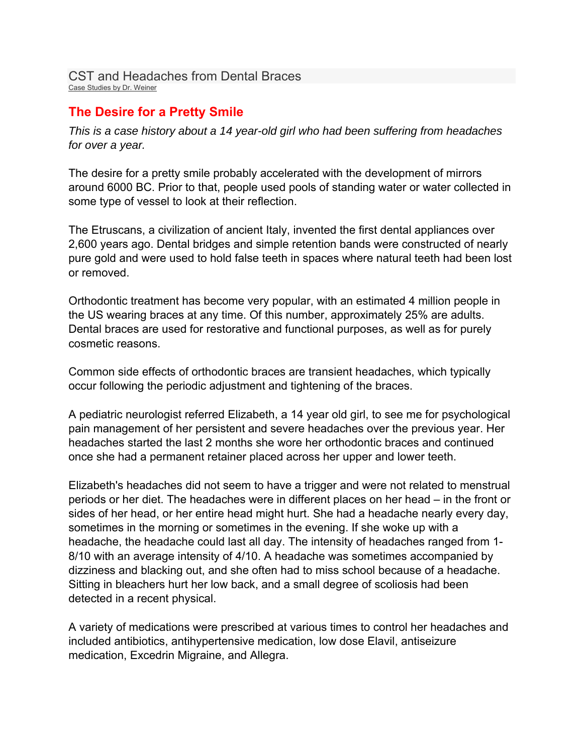## CST and Headaches from Dental Braces Case Studies by Dr. Weiner

## **The Desire for a Pretty Smile**

*This is a case history about a 14 year-old girl who had been suffering from headaches for over a year.*

The desire for a pretty smile probably accelerated with the development of mirrors around 6000 BC. Prior to that, people used pools of standing water or water collected in some type of vessel to look at their reflection.

The Etruscans, a civilization of ancient Italy, invented the first dental appliances over 2,600 years ago. Dental bridges and simple retention bands were constructed of nearly pure gold and were used to hold false teeth in spaces where natural teeth had been lost or removed.

Orthodontic treatment has become very popular, with an estimated 4 million people in the US wearing braces at any time. Of this number, approximately 25% are adults. Dental braces are used for restorative and functional purposes, as well as for purely cosmetic reasons.

Common side effects of orthodontic braces are transient headaches, which typically occur following the periodic adjustment and tightening of the braces.

A pediatric neurologist referred Elizabeth, a 14 year old girl, to see me for psychological pain management of her persistent and severe headaches over the previous year. Her headaches started the last 2 months she wore her orthodontic braces and continued once she had a permanent retainer placed across her upper and lower teeth.

Elizabeth's headaches did not seem to have a trigger and were not related to menstrual periods or her diet. The headaches were in different places on her head – in the front or sides of her head, or her entire head might hurt. She had a headache nearly every day, sometimes in the morning or sometimes in the evening. If she woke up with a headache, the headache could last all day. The intensity of headaches ranged from 1- 8/10 with an average intensity of 4/10. A headache was sometimes accompanied by dizziness and blacking out, and she often had to miss school because of a headache. Sitting in bleachers hurt her low back, and a small degree of scoliosis had been detected in a recent physical.

A variety of medications were prescribed at various times to control her headaches and included antibiotics, antihypertensive medication, low dose Elavil, antiseizure medication, Excedrin Migraine, and Allegra.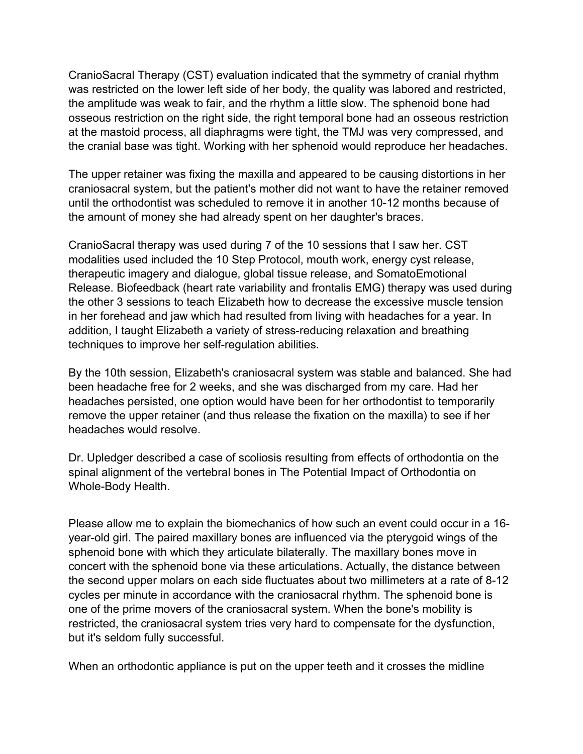CranioSacral Therapy (CST) evaluation indicated that the symmetry of cranial rhythm was restricted on the lower left side of her body, the quality was labored and restricted, the amplitude was weak to fair, and the rhythm a little slow. The sphenoid bone had osseous restriction on the right side, the right temporal bone had an osseous restriction at the mastoid process, all diaphragms were tight, the TMJ was very compressed, and the cranial base was tight. Working with her sphenoid would reproduce her headaches.

The upper retainer was fixing the maxilla and appeared to be causing distortions in her craniosacral system, but the patient's mother did not want to have the retainer removed until the orthodontist was scheduled to remove it in another 10-12 months because of the amount of money she had already spent on her daughter's braces.

CranioSacral therapy was used during 7 of the 10 sessions that I saw her. CST modalities used included the 10 Step Protocol, mouth work, energy cyst release, therapeutic imagery and dialogue, global tissue release, and SomatoEmotional Release. Biofeedback (heart rate variability and frontalis EMG) therapy was used during the other 3 sessions to teach Elizabeth how to decrease the excessive muscle tension in her forehead and jaw which had resulted from living with headaches for a year. In addition, I taught Elizabeth a variety of stress-reducing relaxation and breathing techniques to improve her self-regulation abilities.

By the 10th session, Elizabeth's craniosacral system was stable and balanced. She had been headache free for 2 weeks, and she was discharged from my care. Had her headaches persisted, one option would have been for her orthodontist to temporarily remove the upper retainer (and thus release the fixation on the maxilla) to see if her headaches would resolve.

Dr. Upledger described a case of scoliosis resulting from effects of orthodontia on the spinal alignment of the vertebral bones in The Potential Impact of Orthodontia on Whole-Body Health.

Please allow me to explain the biomechanics of how such an event could occur in a 16 year-old girl. The paired maxillary bones are influenced via the pterygoid wings of the sphenoid bone with which they articulate bilaterally. The maxillary bones move in concert with the sphenoid bone via these articulations. Actually, the distance between the second upper molars on each side fluctuates about two millimeters at a rate of 8-12 cycles per minute in accordance with the craniosacral rhythm. The sphenoid bone is one of the prime movers of the craniosacral system. When the bone's mobility is restricted, the craniosacral system tries very hard to compensate for the dysfunction, but it's seldom fully successful.

When an orthodontic appliance is put on the upper teeth and it crosses the midline